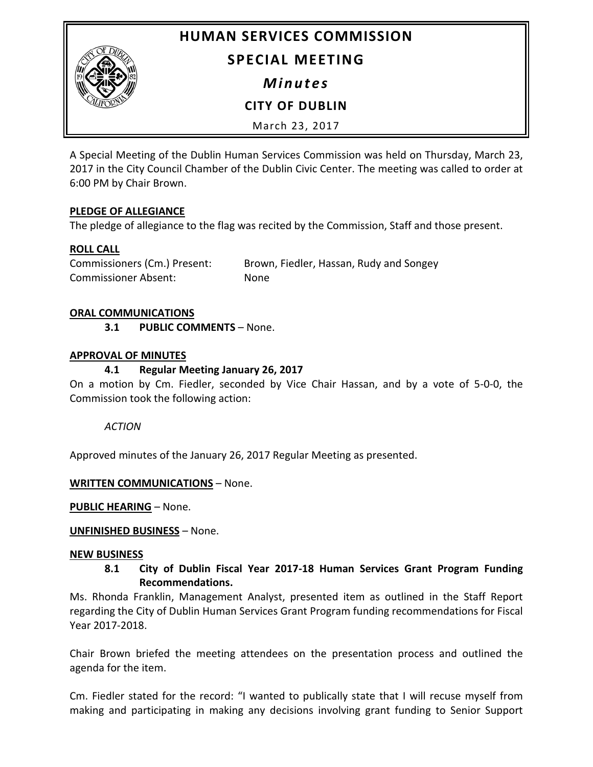**HUMAN SERVICES COMMISSION**



**SPECIAL MEETING**

*Minutes*

**CITY OF DUBLIN**

March 23, 2017

A Special Meeting of the Dublin Human Services Commission was held on Thursday, March 23, 2017 in the City Council Chamber of the Dublin Civic Center. The meeting was called to order at 6:00 PM by Chair Brown.

# **PLEDGE OF ALLEGIANCE**

The pledge of allegiance to the flag was recited by the Commission, Staff and those present.

# **ROLL CALL**

Commissioners (Cm.) Present: Brown, Fiedler, Hassan, Rudy and Songey Commissioner Absent: None

### **ORAL COMMUNICATIONS**

**3.1 PUBLIC COMMENTS** – None.

### **APPROVAL OF MINUTES**

# **4.1 Regular Meeting January 26, 2017**

On a motion by Cm. Fiedler, seconded by Vice Chair Hassan, and by a vote of 5-0-0, the Commission took the following action:

*ACTION*

Approved minutes of the January 26, 2017 Regular Meeting as presented.

#### **WRITTEN COMMUNICATIONS** – None.

**PUBLIC HEARING** – None.

#### **UNFINISHED BUSINESS** – None.

#### **NEW BUSINESS**

# **8.1 City of Dublin Fiscal Year 2017-18 Human Services Grant Program Funding Recommendations.**

Ms. Rhonda Franklin, Management Analyst, presented item as outlined in the Staff Report regarding the City of Dublin Human Services Grant Program funding recommendations for Fiscal Year 2017-2018.

Chair Brown briefed the meeting attendees on the presentation process and outlined the agenda for the item.

Cm. Fiedler stated for the record: "I wanted to publically state that I will recuse myself from making and participating in making any decisions involving grant funding to Senior Support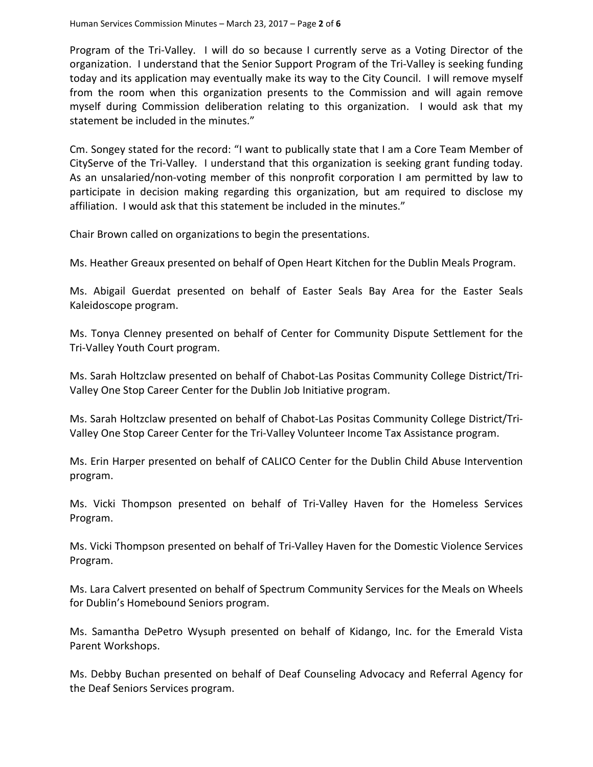Program of the Tri-Valley. I will do so because I currently serve as a Voting Director of the organization. I understand that the Senior Support Program of the Tri-Valley is seeking funding today and its application may eventually make its way to the City Council. I will remove myself from the room when this organization presents to the Commission and will again remove myself during Commission deliberation relating to this organization. I would ask that my statement be included in the minutes."

Cm. Songey stated for the record: "I want to publically state that I am a Core Team Member of CityServe of the Tri-Valley. I understand that this organization is seeking grant funding today. As an unsalaried/non-voting member of this nonprofit corporation I am permitted by law to participate in decision making regarding this organization, but am required to disclose my affiliation. I would ask that this statement be included in the minutes."

Chair Brown called on organizations to begin the presentations.

Ms. Heather Greaux presented on behalf of Open Heart Kitchen for the Dublin Meals Program.

Ms. Abigail Guerdat presented on behalf of Easter Seals Bay Area for the Easter Seals Kaleidoscope program.

Ms. Tonya Clenney presented on behalf of Center for Community Dispute Settlement for the Tri-Valley Youth Court program.

Ms. Sarah Holtzclaw presented on behalf of Chabot-Las Positas Community College District/Tri-Valley One Stop Career Center for the Dublin Job Initiative program.

Ms. Sarah Holtzclaw presented on behalf of Chabot-Las Positas Community College District/Tri-Valley One Stop Career Center for the Tri-Valley Volunteer Income Tax Assistance program.

Ms. Erin Harper presented on behalf of CALICO Center for the Dublin Child Abuse Intervention program.

Ms. Vicki Thompson presented on behalf of Tri-Valley Haven for the Homeless Services Program.

Ms. Vicki Thompson presented on behalf of Tri-Valley Haven for the Domestic Violence Services Program.

Ms. Lara Calvert presented on behalf of Spectrum Community Services for the Meals on Wheels for Dublin's Homebound Seniors program.

Ms. Samantha DePetro Wysuph presented on behalf of Kidango, Inc. for the Emerald Vista Parent Workshops.

Ms. Debby Buchan presented on behalf of Deaf Counseling Advocacy and Referral Agency for the Deaf Seniors Services program.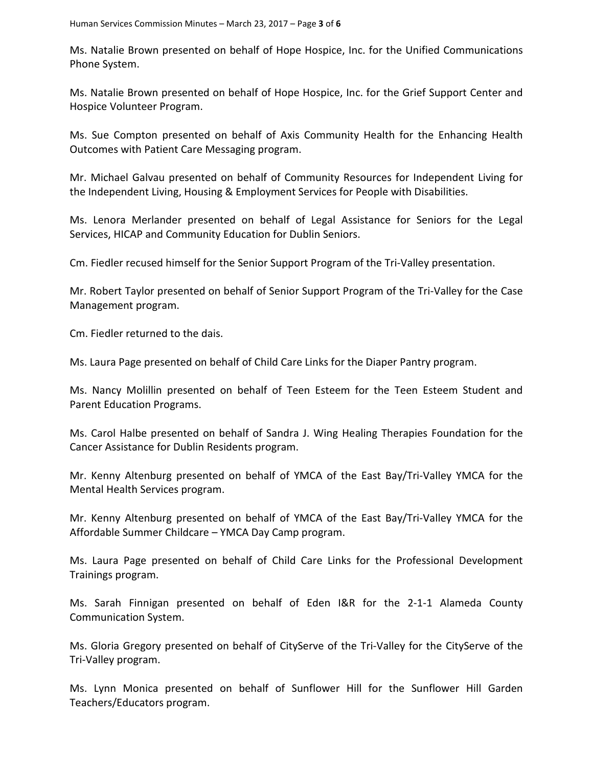Ms. Natalie Brown presented on behalf of Hope Hospice, Inc. for the Unified Communications Phone System.

Ms. Natalie Brown presented on behalf of Hope Hospice, Inc. for the Grief Support Center and Hospice Volunteer Program.

Ms. Sue Compton presented on behalf of Axis Community Health for the Enhancing Health Outcomes with Patient Care Messaging program.

Mr. Michael Galvau presented on behalf of Community Resources for Independent Living for the Independent Living, Housing & Employment Services for People with Disabilities.

Ms. Lenora Merlander presented on behalf of Legal Assistance for Seniors for the Legal Services, HICAP and Community Education for Dublin Seniors.

Cm. Fiedler recused himself for the Senior Support Program of the Tri-Valley presentation.

Mr. Robert Taylor presented on behalf of Senior Support Program of the Tri-Valley for the Case Management program.

Cm. Fiedler returned to the dais.

Ms. Laura Page presented on behalf of Child Care Links for the Diaper Pantry program.

Ms. Nancy Molillin presented on behalf of Teen Esteem for the Teen Esteem Student and Parent Education Programs.

Ms. Carol Halbe presented on behalf of Sandra J. Wing Healing Therapies Foundation for the Cancer Assistance for Dublin Residents program.

Mr. Kenny Altenburg presented on behalf of YMCA of the East Bay/Tri-Valley YMCA for the Mental Health Services program.

Mr. Kenny Altenburg presented on behalf of YMCA of the East Bay/Tri-Valley YMCA for the Affordable Summer Childcare – YMCA Day Camp program.

Ms. Laura Page presented on behalf of Child Care Links for the Professional Development Trainings program.

Ms. Sarah Finnigan presented on behalf of Eden I&R for the 2-1-1 Alameda County Communication System.

Ms. Gloria Gregory presented on behalf of CityServe of the Tri-Valley for the CityServe of the Tri-Valley program.

Ms. Lynn Monica presented on behalf of Sunflower Hill for the Sunflower Hill Garden Teachers/Educators program.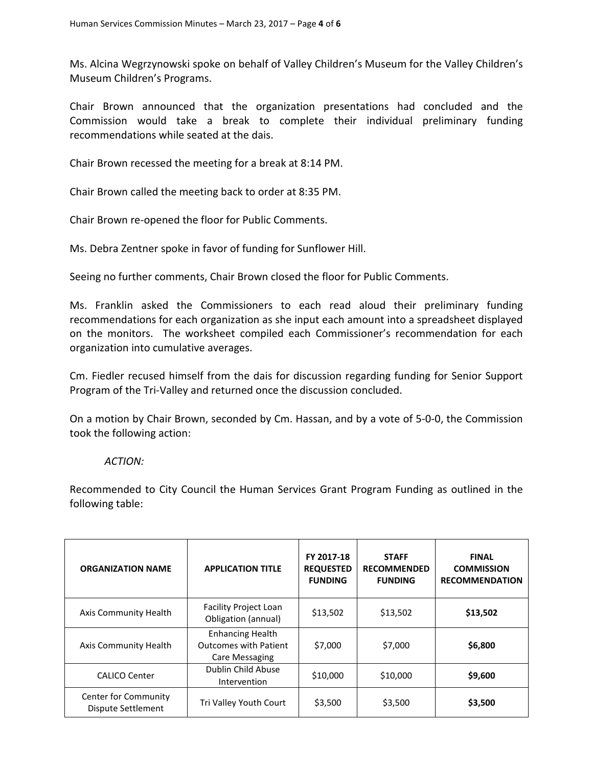Ms. Alcina Wegrzynowski spoke on behalf of Valley Children's Museum for the Valley Children's Museum Children's Programs.

Chair Brown announced that the organization presentations had concluded and the Commission would take a break to complete their individual preliminary funding recommendations while seated at the dais.

Chair Brown recessed the meeting for a break at 8:14 PM.

Chair Brown called the meeting back to order at 8:35 PM.

Chair Brown re-opened the floor for Public Comments.

Ms. Debra Zentner spoke in favor of funding for Sunflower Hill.

Seeing no further comments, Chair Brown closed the floor for Public Comments.

Ms. Franklin asked the Commissioners to each read aloud their preliminary funding recommendations for each organization as she input each amount into a spreadsheet displayed on the monitors. The worksheet compiled each Commissioner's recommendation for each organization into cumulative averages.

Cm. Fiedler recused himself from the dais for discussion regarding funding for Senior Support Program of the Tri-Valley and returned once the discussion concluded.

On a motion by Chair Brown, seconded by Cm. Hassan, and by a vote of 5-0-0, the Commission took the following action:

#### *ACTION:*

Recommended to City Council the Human Services Grant Program Funding as outlined in the following table:

| <b>ORGANIZATION NAME</b>                   | <b>APPLICATION TITLE</b>                                                  | FY 2017-18<br><b>REQUESTED</b><br><b>FUNDING</b> | <b>STAFF</b><br><b>RECOMMENDED</b><br><b>FUNDING</b> | <b>FINAL</b><br><b>COMMISSION</b><br><b>RECOMMENDATION</b> |
|--------------------------------------------|---------------------------------------------------------------------------|--------------------------------------------------|------------------------------------------------------|------------------------------------------------------------|
| Axis Community Health                      | Facility Project Loan<br>Obligation (annual)                              | \$13,502                                         | \$13,502                                             | \$13,502                                                   |
| Axis Community Health                      | <b>Enhancing Health</b><br><b>Outcomes with Patient</b><br>Care Messaging | \$7,000                                          | \$7,000                                              | \$6,800                                                    |
| <b>CALICO Center</b>                       | Dublin Child Abuse<br>Intervention                                        | \$10,000                                         | \$10,000                                             | \$9,600                                                    |
| Center for Community<br>Dispute Settlement | Tri Valley Youth Court                                                    | \$3,500                                          | \$3,500                                              | \$3,500                                                    |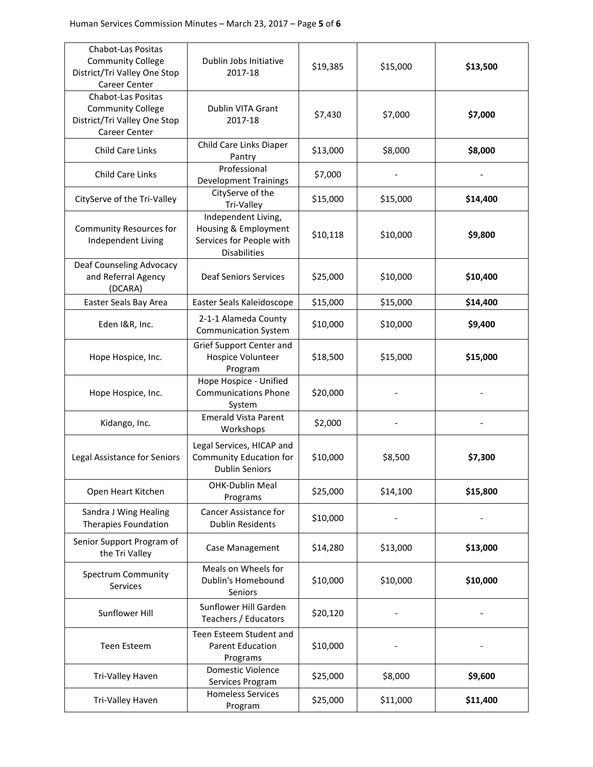| <b>Chabot-Las Positas</b><br><b>Community College</b><br>District/Tri Valley One Stop<br>Career Center | Dublin Jobs Initiative<br>2017-18                                                              | \$19,385 | \$15,000 | \$13,500 |
|--------------------------------------------------------------------------------------------------------|------------------------------------------------------------------------------------------------|----------|----------|----------|
| <b>Chabot-Las Positas</b><br><b>Community College</b><br>District/Tri Valley One Stop<br>Career Center | Dublin VITA Grant<br>2017-18                                                                   | \$7,430  | \$7,000  | \$7,000  |
| Child Care Links                                                                                       | Child Care Links Diaper<br>Pantry                                                              | \$13,000 | \$8,000  | \$8,000  |
| <b>Child Care Links</b>                                                                                | Professional<br><b>Development Trainings</b>                                                   | \$7,000  |          |          |
| CityServe of the Tri-Valley                                                                            | CityServe of the<br>Tri-Valley                                                                 | \$15,000 | \$15,000 | \$14,400 |
| <b>Community Resources for</b><br>Independent Living                                                   | Independent Living,<br>Housing & Employment<br>Services for People with<br><b>Disabilities</b> | \$10,118 | \$10,000 | \$9,800  |
| Deaf Counseling Advocacy<br>and Referral Agency<br>(DCARA)                                             | <b>Deaf Seniors Services</b>                                                                   | \$25,000 | \$10,000 | \$10,400 |
| Easter Seals Bay Area                                                                                  | Easter Seals Kaleidoscope                                                                      | \$15,000 | \$15,000 | \$14,400 |
| Eden I&R, Inc.                                                                                         | 2-1-1 Alameda County<br><b>Communication System</b>                                            | \$10,000 | \$10,000 | \$9,400  |
| Hope Hospice, Inc.                                                                                     | Grief Support Center and<br>Hospice Volunteer<br>Program                                       | \$18,500 | \$15,000 | \$15,000 |
| Hope Hospice, Inc.                                                                                     | Hope Hospice - Unified<br><b>Communications Phone</b><br>System                                | \$20,000 |          |          |
| Kidango, Inc.                                                                                          | <b>Emerald Vista Parent</b><br>Workshops                                                       | \$2,000  |          |          |
| Legal Assistance for Seniors                                                                           | Legal Services, HICAP and<br><b>Community Education for</b><br><b>Dublin Seniors</b>           | \$10,000 | \$8,500  | \$7,300  |
| Open Heart Kitchen                                                                                     | <b>OHK-Dublin Meal</b><br>Programs                                                             | \$25,000 | \$14,100 | \$15,800 |
| Sandra J Wing Healing<br>Therapies Foundation                                                          | Cancer Assistance for<br><b>Dublin Residents</b>                                               | \$10,000 |          |          |
| Senior Support Program of<br>the Tri Valley                                                            | Case Management                                                                                | \$14,280 | \$13,000 | \$13,000 |
| Spectrum Community<br>Services                                                                         | Meals on Wheels for<br>Dublin's Homebound<br>Seniors                                           | \$10,000 | \$10,000 | \$10,000 |
| Sunflower Hill                                                                                         | Sunflower Hill Garden<br>Teachers / Educators                                                  | \$20,120 |          |          |
| <b>Teen Esteem</b>                                                                                     | Teen Esteem Student and<br><b>Parent Education</b><br>Programs                                 | \$10,000 |          |          |
| Tri-Valley Haven                                                                                       | <b>Domestic Violence</b><br>Services Program                                                   | \$25,000 | \$8,000  | \$9,600  |
| Tri-Valley Haven                                                                                       | <b>Homeless Services</b><br>Program                                                            | \$25,000 | \$11,000 | \$11,400 |